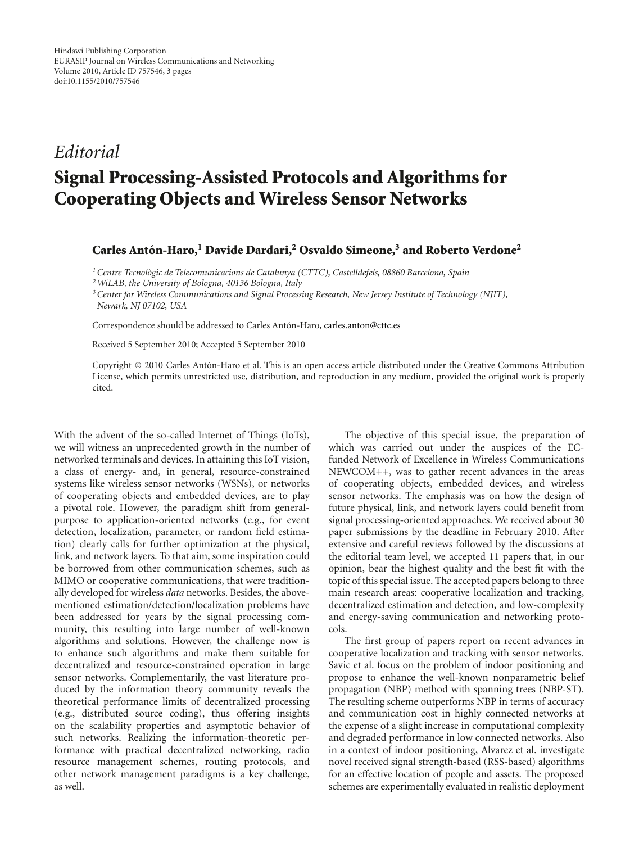## *Editorial* **Signal Processing-Assisted Protocols and Algorithms for Cooperating Objects and Wireless Sensor Networks**

## **Carles Anton-Haro, ´ <sup>1</sup> Davide Dardari,2 Osvaldo Simeone,3 and Roberto Verdone2**

*1Centre Tecnologic de Telecomunicacions de Catalunya (CTTC), Castelldefels, 08860 Barcelona, Spain `*

*2WiLAB, the University of Bologna, 40136 Bologna, Italy*

*3Center for Wireless Communications and Signal Processing Research, New Jersey Institute of Technology (NJIT), Newark, NJ 07102, USA*

Correspondence should be addressed to Carles Antón-Haro, carles.anton@cttc.es

Received 5 September 2010; Accepted 5 September 2010

Copyright © 2010 Carles Anton-Haro et al. This is an open access article distributed under the Creative Commons Attribution ´ License, which permits unrestricted use, distribution, and reproduction in any medium, provided the original work is properly cited.

With the advent of the so-called Internet of Things (IoTs), we will witness an unprecedented growth in the number of networked terminals and devices. In attaining this IoT vision, a class of energy- and, in general, resource-constrained systems like wireless sensor networks (WSNs), or networks of cooperating objects and embedded devices, are to play a pivotal role. However, the paradigm shift from generalpurpose to application-oriented networks (e.g., for event detection, localization, parameter, or random field estimation) clearly calls for further optimization at the physical, link, and network layers. To that aim, some inspiration could be borrowed from other communication schemes, such as MIMO or cooperative communications, that were traditionally developed for wireless *data* networks. Besides, the abovementioned estimation/detection/localization problems have been addressed for years by the signal processing community, this resulting into large number of well-known algorithms and solutions. However, the challenge now is to enhance such algorithms and make them suitable for decentralized and resource-constrained operation in large sensor networks. Complementarily, the vast literature produced by the information theory community reveals the theoretical performance limits of decentralized processing (e.g., distributed source coding), thus offering insights on the scalability properties and asymptotic behavior of such networks. Realizing the information-theoretic performance with practical decentralized networking, radio resource management schemes, routing protocols, and other network management paradigms is a key challenge, as well.

The objective of this special issue, the preparation of which was carried out under the auspices of the ECfunded Network of Excellence in Wireless Communications NEWCOM++, was to gather recent advances in the areas of cooperating objects, embedded devices, and wireless sensor networks. The emphasis was on how the design of future physical, link, and network layers could benefit from signal processing-oriented approaches. We received about 30 paper submissions by the deadline in February 2010. After extensive and careful reviews followed by the discussions at the editorial team level, we accepted 11 papers that, in our opinion, bear the highest quality and the best fit with the topic of this special issue. The accepted papers belong to three main research areas: cooperative localization and tracking, decentralized estimation and detection, and low-complexity and energy-saving communication and networking protocols.

The first group of papers report on recent advances in cooperative localization and tracking with sensor networks. Savic et al. focus on the problem of indoor positioning and propose to enhance the well-known nonparametric belief propagation (NBP) method with spanning trees (NBP-ST). The resulting scheme outperforms NBP in terms of accuracy and communication cost in highly connected networks at the expense of a slight increase in computational complexity and degraded performance in low connected networks. Also in a context of indoor positioning, Alvarez et al. investigate novel received signal strength-based (RSS-based) algorithms for an effective location of people and assets. The proposed schemes are experimentally evaluated in realistic deployment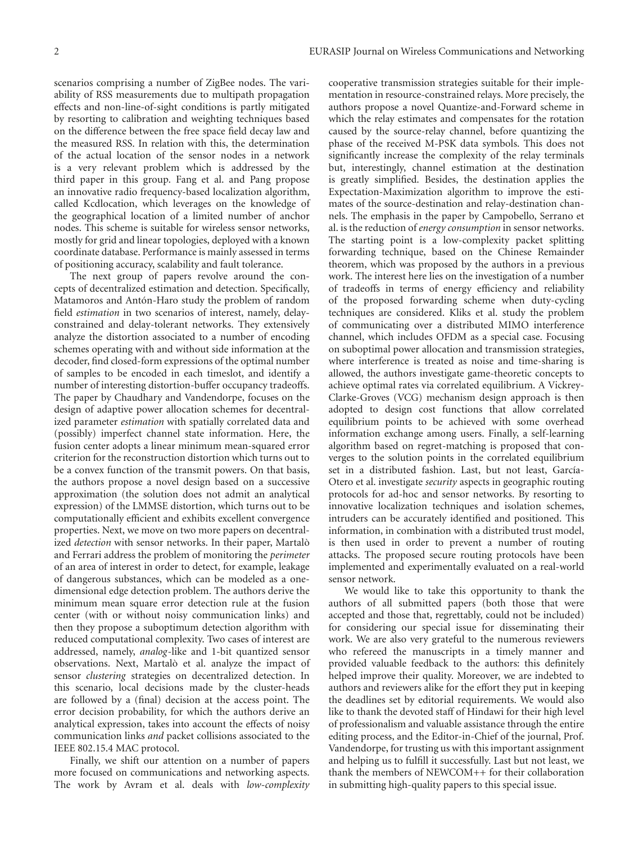scenarios comprising a number of ZigBee nodes. The variability of RSS measurements due to multipath propagation effects and non-line-of-sight conditions is partly mitigated by resorting to calibration and weighting techniques based on the difference between the free space field decay law and the measured RSS. In relation with this, the determination of the actual location of the sensor nodes in a network is a very relevant problem which is addressed by the third paper in this group. Fang et al. and Pang propose an innovative radio frequency-based localization algorithm, called Kcdlocation, which leverages on the knowledge of the geographical location of a limited number of anchor nodes. This scheme is suitable for wireless sensor networks, mostly for grid and linear topologies, deployed with a known coordinate database. Performance is mainly assessed in terms of positioning accuracy, scalability and fault tolerance.

The next group of papers revolve around the concepts of decentralized estimation and detection. Specifically, Matamoros and Antón-Haro study the problem of random field *estimation* in two scenarios of interest, namely, delayconstrained and delay-tolerant networks. They extensively analyze the distortion associated to a number of encoding schemes operating with and without side information at the decoder, find closed-form expressions of the optimal number of samples to be encoded in each timeslot, and identify a number of interesting distortion-buffer occupancy tradeoffs. The paper by Chaudhary and Vandendorpe, focuses on the design of adaptive power allocation schemes for decentralized parameter *estimation* with spatially correlated data and (possibly) imperfect channel state information. Here, the fusion center adopts a linear minimum mean-squared error criterion for the reconstruction distortion which turns out to be a convex function of the transmit powers. On that basis, the authors propose a novel design based on a successive approximation (the solution does not admit an analytical expression) of the LMMSE distortion, which turns out to be computationally efficient and exhibits excellent convergence properties. Next, we move on two more papers on decentralized *detection* with sensor networks. In their paper, Martalò and Ferrari address the problem of monitoring the *perimeter* of an area of interest in order to detect, for example, leakage of dangerous substances, which can be modeled as a onedimensional edge detection problem. The authors derive the minimum mean square error detection rule at the fusion center (with or without noisy communication links) and then they propose a suboptimum detection algorithm with reduced computational complexity. Two cases of interest are addressed, namely, *analog*-like and 1-bit quantized sensor observations. Next, Martalò et al. analyze the impact of sensor *clustering* strategies on decentralized detection. In this scenario, local decisions made by the cluster-heads are followed by a (final) decision at the access point. The error decision probability, for which the authors derive an analytical expression, takes into account the effects of noisy communication links *and* packet collisions associated to the IEEE 802.15.4 MAC protocol.

Finally, we shift our attention on a number of papers more focused on communications and networking aspects. The work by Avram et al. deals with *low-complexity* cooperative transmission strategies suitable for their implementation in resource-constrained relays. More precisely, the authors propose a novel Quantize-and-Forward scheme in which the relay estimates and compensates for the rotation caused by the source-relay channel, before quantizing the phase of the received M-PSK data symbols. This does not significantly increase the complexity of the relay terminals but, interestingly, channel estimation at the destination is greatly simplified. Besides, the destination applies the Expectation-Maximization algorithm to improve the estimates of the source-destination and relay-destination channels. The emphasis in the paper by Campobello, Serrano et al. is the reduction of *energy consumption* in sensor networks. The starting point is a low-complexity packet splitting forwarding technique, based on the Chinese Remainder theorem, which was proposed by the authors in a previous work. The interest here lies on the investigation of a number of tradeoffs in terms of energy efficiency and reliability of the proposed forwarding scheme when duty-cycling techniques are considered. Kliks et al. study the problem of communicating over a distributed MIMO interference channel, which includes OFDM as a special case. Focusing on suboptimal power allocation and transmission strategies, where interference is treated as noise and time-sharing is allowed, the authors investigate game-theoretic concepts to achieve optimal rates via correlated equilibrium. A Vickrey-Clarke-Groves (VCG) mechanism design approach is then adopted to design cost functions that allow correlated equilibrium points to be achieved with some overhead information exchange among users. Finally, a self-learning algorithm based on regret-matching is proposed that converges to the solution points in the correlated equilibrium set in a distributed fashion. Last, but not least, García-Otero et al. investigate *security* aspects in geographic routing protocols for ad-hoc and sensor networks. By resorting to innovative localization techniques and isolation schemes, intruders can be accurately identified and positioned. This information, in combination with a distributed trust model, is then used in order to prevent a number of routing attacks. The proposed secure routing protocols have been implemented and experimentally evaluated on a real-world sensor network.

We would like to take this opportunity to thank the authors of all submitted papers (both those that were accepted and those that, regrettably, could not be included) for considering our special issue for disseminating their work. We are also very grateful to the numerous reviewers who refereed the manuscripts in a timely manner and provided valuable feedback to the authors: this definitely helped improve their quality. Moreover, we are indebted to authors and reviewers alike for the effort they put in keeping the deadlines set by editorial requirements. We would also like to thank the devoted staff of Hindawi for their high level of professionalism and valuable assistance through the entire editing process, and the Editor-in-Chief of the journal, Prof. Vandendorpe, for trusting us with this important assignment and helping us to fulfill it successfully. Last but not least, we thank the members of NEWCOM++ for their collaboration in submitting high-quality papers to this special issue.